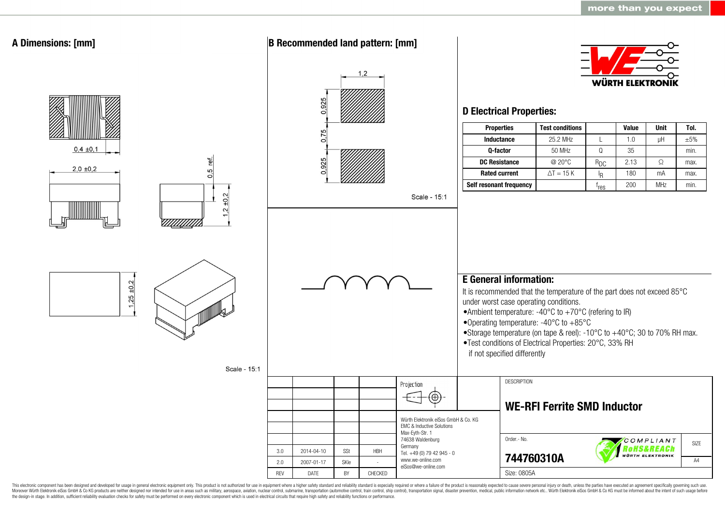

This electronic component has been designed and developed for usage in general electronic equipment only. This product is not authorized for use in equipment where a higher safety standard and reliability standard is espec Moreover Würth Elektronik eiSos GmbH & Co KG products are neither designed nor intended for use in areas such as military, aerospace, aviation, nuclear control, submarine, transportation (automotive control, ship control), the design-in stage. In addition, sufficient reliability evaluation checks for safety must be performed on every electronic component which is used in electrical circuits that require high safety and reliability functions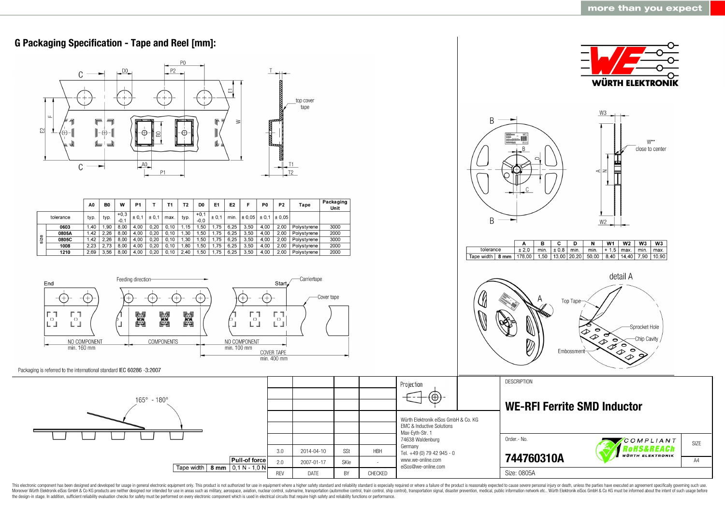

This electronic component has been designed and developed for usage in general electronic equipment only. This product is not authorized for use in equipment where a higher safety standard and reliability standard as espec Moreover Würth Elektronik eiSos GmbH & Co KG products are neither designed nor intended for use in areas such as military, aerospace, aviation, nuclear control, submarine, transportation (automotive control, ship control), the design-in stage. In addition, sufficient reliability evaluation checks for safety must be performed on every electronic component which is used in electrical circuits that require high safety and reliability functions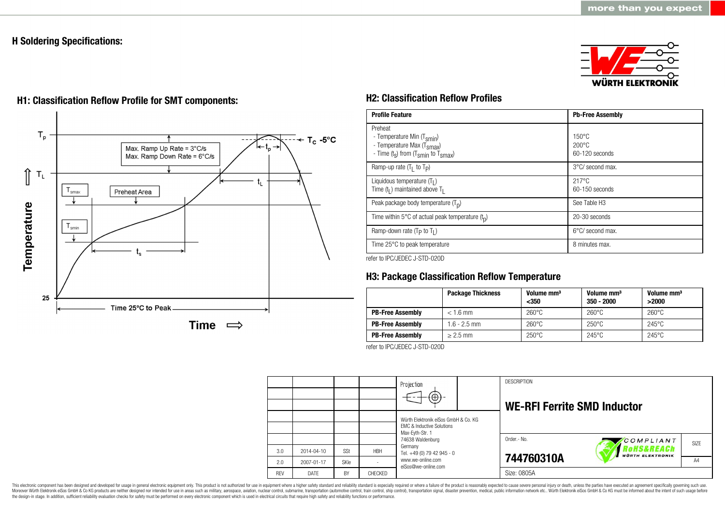## **H Soldering Specifications:**





# **H1: Classification Reflow Profile for SMT components: H2: Classification Reflow Profiles**

| <b>Profile Feature</b>                                                                                                                        | <b>Pb-Free Assembly</b>                             |
|-----------------------------------------------------------------------------------------------------------------------------------------------|-----------------------------------------------------|
| Preheat<br>- Temperature Min (T <sub>smin</sub> )<br>- Temperature Max (T <sub>Smax</sub> )<br>- Time $(t_s)$ from $(T_{smin}$ to $T_{smax})$ | $150^{\circ}$ C<br>$200\degree C$<br>60-120 seconds |
| Ramp-up rate $(T_1$ to $T_p$ )                                                                                                                | 3°C/ second max.                                    |
| Liquidous temperature $(T1)$<br>Time $(tl)$ maintained above T <sub>1</sub>                                                                   | $217^{\circ}$ C<br>60-150 seconds                   |
| Peak package body temperature $(Tp)$                                                                                                          | See Table H <sub>3</sub>                            |
| Time within 5°C of actual peak temperature $(t_n)$                                                                                            | 20-30 seconds                                       |
| Ramp-down rate ( $T_P$ to $T_I$ )                                                                                                             | $6^{\circ}$ C/ second max.                          |
| Time 25°C to peak temperature                                                                                                                 | 8 minutes max.                                      |

refer to IPC/JEDEC J-STD-020D

## **H3: Package Classification Reflow Temperature**

|                         | <b>Package Thickness</b> | Volume mm <sup>3</sup><br>$350$ | Volume mm <sup>3</sup><br>$350 - 2000$ | Volume mm <sup>3</sup><br>>2000 |
|-------------------------|--------------------------|---------------------------------|----------------------------------------|---------------------------------|
| <b>PB-Free Assembly</b> | $< 1.6$ mm               | $260^{\circ}$ C                 | $260^{\circ}$ C                        | $260^{\circ}$ C                 |
| <b>PB-Free Assembly</b> | $1.6 - 2.5$ mm           | $260^{\circ}$ C                 | $250^{\circ}$ C                        | $245^{\circ}$ C                 |
| <b>PB-Free Assembly</b> | $> 2.5$ mm               | $250^{\circ}$ C                 | $245^{\circ}$ C                        | $245^{\circ}$ C                 |

refer to IPC/JEDEC J-STD-020D

|            |             |      |            | Projection<br>$(\oplus)$ -                                                                               |  | <b>DESCRIPTION</b><br><b>WE-RFI Ferrite SMD Inductor</b> |                                       |                   |
|------------|-------------|------|------------|----------------------------------------------------------------------------------------------------------|--|----------------------------------------------------------|---------------------------------------|-------------------|
|            |             |      |            | Würth Elektronik eiSos GmbH & Co. KG<br>FMC & Inductive Solutions<br>Max-Eyth-Str. 1<br>74638 Waldenburg |  |                                                          |                                       |                   |
|            |             |      |            |                                                                                                          |  | Order - No.                                              | COMPLIANT                             | SI <sub>7</sub> F |
| 3.0        | 2014-04-10  | SSt  | <b>HBH</b> | Germany<br>Tel. +49 (0) 79 42 945 - 0                                                                    |  |                                                          | RoHS&REACh<br><b>WÜRTH ELEKTRONIK</b> |                   |
| 2.0        | 2007-01-17  | SKIe |            | www.we-online.com<br>eiSos@we-online.com                                                                 |  | 744760310A                                               |                                       | A <sub>4</sub>    |
| <b>RFV</b> | <b>DATE</b> | BY   | CHECKED    |                                                                                                          |  | Size: 0805A                                              |                                       |                   |

This electronic component has been designed and developed for usage in general electronic equipment only. This product is not authorized for use in equipment where a higher safety standard and reliability standard is espec Moreover Würth Elektronik eiSos GmbH & Co KG products are neither designed nor intended for use in areas such as military, aerospace, aviation, nuclear control, submarine, transportation (automotive control), stain control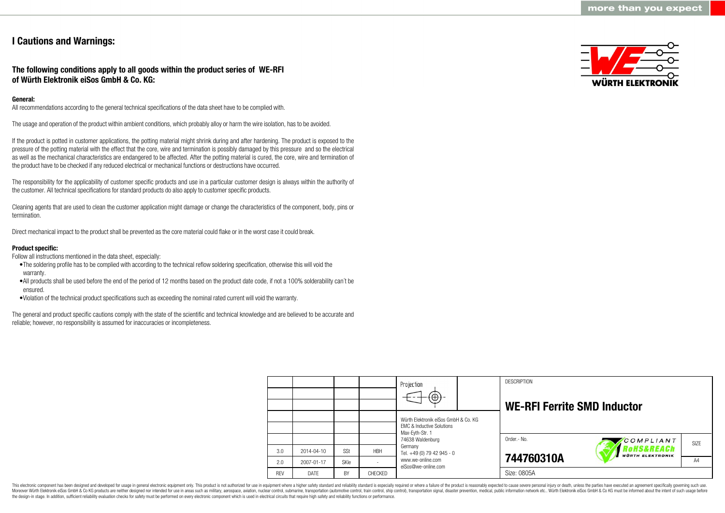## **I Cautions and Warnings:**

**The following conditions apply to all goods within the product series of WE-RFI of Würth Elektronik eiSos GmbH & Co. KG:**

### **General:**

All recommendations according to the general technical specifications of the data sheet have to be complied with.

The usage and operation of the product within ambient conditions, which probably alloy or harm the wire isolation, has to be avoided.

If the product is potted in customer applications, the potting material might shrink during and after hardening. The product is exposed to the pressure of the potting material with the effect that the core, wire and termination is possibly damaged by this pressure and so the electrical as well as the mechanical characteristics are endangered to be affected. After the potting material is cured, the core, wire and termination of the product have to be checked if any reduced electrical or mechanical functions or destructions have occurred.

The responsibility for the applicability of customer specific products and use in a particular customer design is always within the authority of the customer. All technical specifications for standard products do also apply to customer specific products.

Cleaning agents that are used to clean the customer application might damage or change the characteristics of the component, body, pins or termination.

Direct mechanical impact to the product shall be prevented as the core material could flake or in the worst case it could break.

#### **Product specific:**

Follow all instructions mentioned in the data sheet, especially:

- •The soldering profile has to be complied with according to the technical reflow soldering specification, otherwise this will void the warranty.
- •All products shall be used before the end of the period of 12 months based on the product date code, if not a 100% solderability can´t be ensured.
- •Violation of the technical product specifications such as exceeding the nominal rated current will void the warranty.

The general and product specific cautions comply with the state of the scientific and technical knowledge and are believed to be accurate and reliable; however, no responsibility is assumed for inaccuracies or incompleteness.



|            |                  |      |            | Projection<br>$\bigoplus$                                                                       |  | <b>DESCRIPTION</b><br><b>WE-RFI Ferrite SMD Inductor</b> |                                                 |      |
|------------|------------------|------|------------|-------------------------------------------------------------------------------------------------|--|----------------------------------------------------------|-------------------------------------------------|------|
|            |                  |      |            | Würth Elektronik eiSos GmbH & Co. KG<br><b>EMC &amp; Inductive Solutions</b><br>Max-Evth-Str. 1 |  |                                                          |                                                 |      |
|            |                  |      |            | 74638 Waldenburg                                                                                |  | Order.- No.                                              | COMPLIANT                                       | SIZE |
| 3.0        | $2014 - 04 - 10$ | SSt  | <b>HBH</b> | Germany<br>Tel. +49 (0) 79 42 945 - 0                                                           |  |                                                          | <b>oHS&amp;REACh</b><br><b>WÜRTH ELEKTRONIK</b> |      |
| 2.0        | 2007-01-17       | SKIe |            | www.we-online.com<br>eiSos@we-online.com                                                        |  | 744760310A                                               |                                                 | A4   |
| <b>REV</b> | DATE             | BY   | CHECKED    |                                                                                                 |  | Size: 0805A                                              |                                                 |      |

This electronic component has been designed and developed for usage in general electronic equipment only. This product is not authorized for use in equipment where a higher safety standard and reliability standard is espec Moreover Würth Elektronik eiSos GmbH & Co KG products are neither designed nor intended for use in areas such as military, aerospace, aviation, nuclear control, submarine, transportation (automotive control), tain control) the design-in stage. In addition, sufficient reliability evaluation checks for safety must be performed on every electronic component which is used in electrical circuits that require high safety and reliability functions